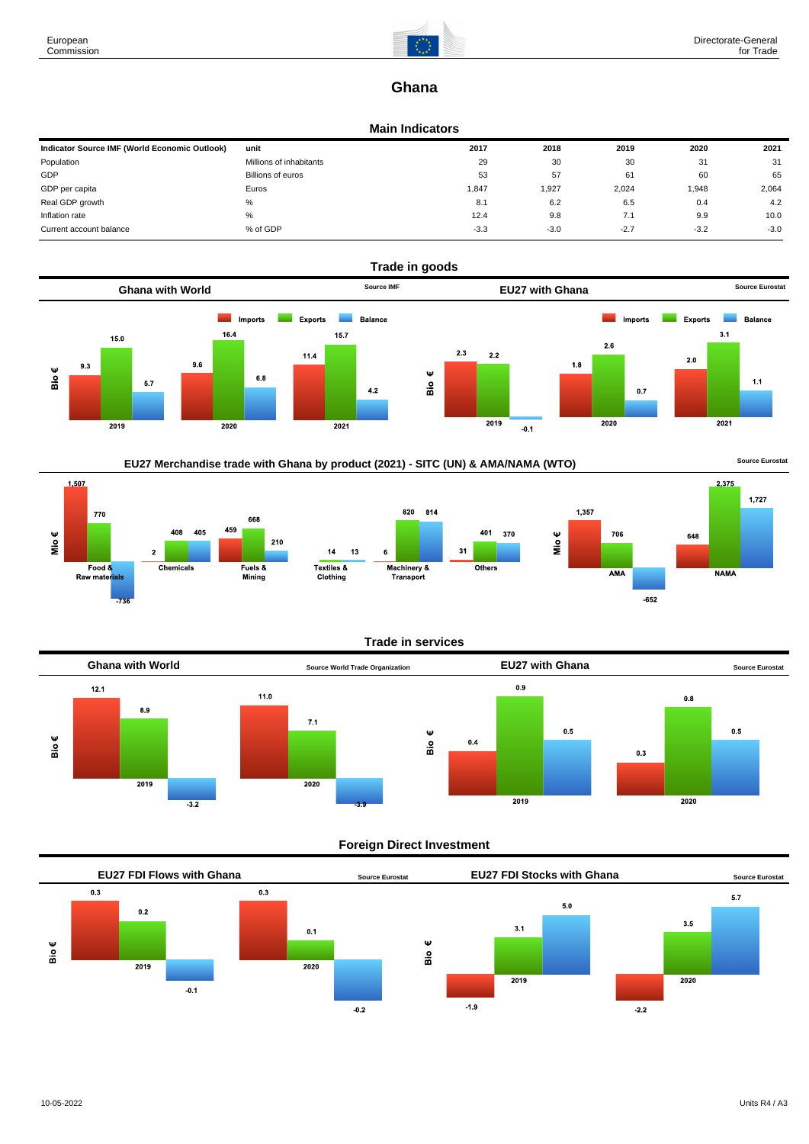

2,375

**NAMA** 

 $-652$ 

 $1,727$ 

# **Ghana**

## **Main Indicators**

| Indicator Source IMF (World Economic Outlook) | unit                    | 2017   | 2018   | 2019   | 2020   | 2021   |
|-----------------------------------------------|-------------------------|--------|--------|--------|--------|--------|
| Population                                    | Millions of inhabitants | 29     | 30     | 30     | 31     | 31     |
| GDP                                           | Billions of euros       | 53     | 57     | 61     | 60     | 65     |
| GDP per capita                                | Euros                   | 1,847  | 1,927  | 2,024  | 1,948  | 2,064  |
| Real GDP growth                               | %                       | 8.1    | 6.2    | 6.5    | 0.4    | 4.2    |
| Inflation rate                                | %                       | 12.4   | 9.8    | 7.1    | 9.9    | 10.0   |
| Current account balance                       | % of GDP                | $-3.3$ | $-3.0$ | $-2.7$ | $-3.2$ | $-3.0$ |









# **Foreign Direct Investment**